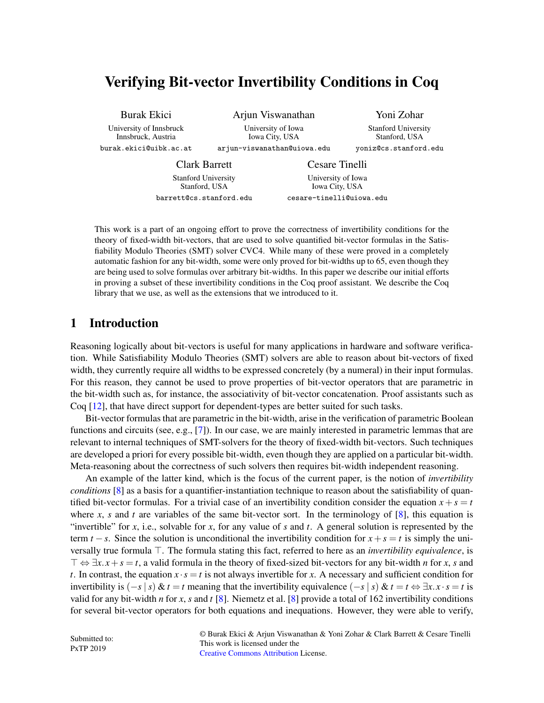# Verifying Bit-vector Invertibility Conditions in Coq

Burak Ekici University of Innsbruck Innsbruck, Austria burak.ekici@uibk.ac.at

Arjun Viswanathan University of Iowa Iowa City, USA arjun-viswanathan@uiowa.edu

Yoni Zohar Stanford University Stanford, USA yoniz@cs.stanford.edu

Clark Barrett Stanford University Stanford, USA barrett@cs.stanford.edu

Cesare Tinelli University of Iowa Iowa City, USA cesare-tinelli@uiowa.edu

This work is a part of an ongoing effort to prove the correctness of invertibility conditions for the theory of fixed-width bit-vectors, that are used to solve quantified bit-vector formulas in the Satisfiability Modulo Theories (SMT) solver CVC4. While many of these were proved in a completely automatic fashion for any bit-width, some were only proved for bit-widths up to 65, even though they are being used to solve formulas over arbitrary bit-widths. In this paper we describe our initial efforts in proving a subset of these invertibility conditions in the Coq proof assistant. We describe the Coq library that we use, as well as the extensions that we introduced to it.

## 1 Introduction

Reasoning logically about bit-vectors is useful for many applications in hardware and software verification. While Satisfiability Modulo Theories (SMT) solvers are able to reason about bit-vectors of fixed width, they currently require all widths to be expressed concretely (by a numeral) in their input formulas. For this reason, they cannot be used to prove properties of bit-vector operators that are parametric in the bit-width such as, for instance, the associativity of bit-vector concatenation. Proof assistants such as Coq [\[12\]](#page-8-0), that have direct support for dependent-types are better suited for such tasks.

Bit-vector formulas that are parametric in the bit-width, arise in the verification of parametric Boolean functions and circuits (see, e.g., [\[7\]](#page-8-1)). In our case, we are mainly interested in parametric lemmas that are relevant to internal techniques of SMT-solvers for the theory of fixed-width bit-vectors. Such techniques are developed a priori for every possible bit-width, even though they are applied on a particular bit-width. Meta-reasoning about the correctness of such solvers then requires bit-width independent reasoning.

An example of the latter kind, which is the focus of the current paper, is the notion of *invertibility conditions* [\[8\]](#page-8-2) as a basis for a quantifier-instantiation technique to reason about the satisfiability of quantified bit-vector formulas. For a trivial case of an invertibility condition consider the equation  $x + s = t$ where *x*, *s* and *t* are variables of the same bit-vector sort. In the terminology of  $[8]$ , this equation is "invertible" for *x*, i.e., solvable for *x*, for any value of *s* and *t*. A general solution is represented by the term  $t - s$ . Since the solution is unconditional the invertibility condition for  $x + s = t$  is simply the universally true formula  $\top$ . The formula stating this fact, referred to here as an *invertibility equivalence*, is  $\top \Leftrightarrow \exists x \cdot x + s = t$ , a valid formula in the theory of fixed-sized bit-vectors for any bit-width *n* for *x*, *s* and *t*. In contrast, the equation  $x \cdot s = t$  is not always invertible for *x*. A necessary and sufficient condition for invertibility is  $(-s \mid s) \& t = t$  meaning that the invertibility equivalence  $(-s \mid s) \& t = t \Leftrightarrow \exists x \cdot x \cdot s = t$  is valid for any bit-width *n* for *x*, *s* and *t* [\[8\]](#page-8-2). Niemetz et al. [\[8\]](#page-8-2) provide a total of 162 invertibility conditions for several bit-vector operators for both equations and inequations. However, they were able to verify,

Submitted to: PxTP 2019

© Burak Ekici & Arjun Viswanathan & Yoni Zohar & Clark Barrett & Cesare Tinelli This work is licensed under the [Creative Commons](http://creativecommons.org) [Attribution](http://creativecommons.org/licenses/by/3.0/) License.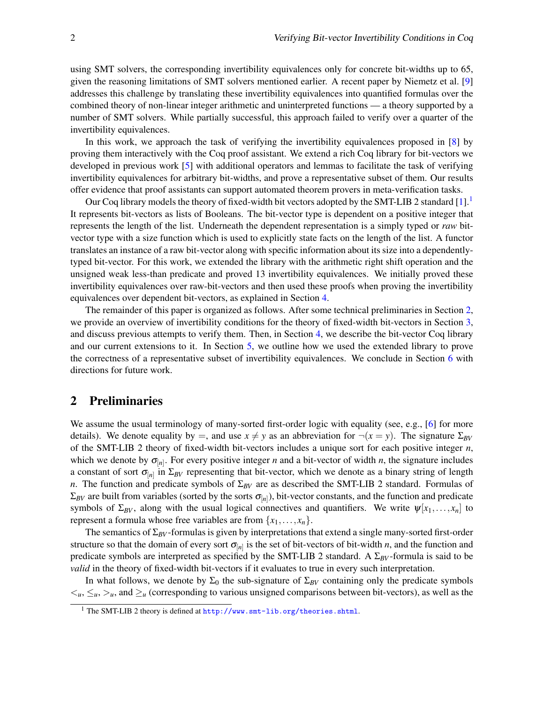using SMT solvers, the corresponding invertibility equivalences only for concrete bit-widths up to 65, given the reasoning limitations of SMT solvers mentioned earlier. A recent paper by Niemetz et al. [\[9\]](#page-8-3) addresses this challenge by translating these invertibility equivalences into quantified formulas over the combined theory of non-linear integer arithmetic and uninterpreted functions — a theory supported by a number of SMT solvers. While partially successful, this approach failed to verify over a quarter of the invertibility equivalences.

In this work, we approach the task of verifying the invertibility equivalences proposed in [\[8\]](#page-8-2) by proving them interactively with the Coq proof assistant. We extend a rich Coq library for bit-vectors we developed in previous work [\[5\]](#page-8-4) with additional operators and lemmas to facilitate the task of verifying invertibility equivalences for arbitrary bit-widths, and prove a representative subset of them. Our results offer evidence that proof assistants can support automated theorem provers in meta-verification tasks.

Our Coq library models the theory of fixed-width bit vectors adopted by the SMT-LIB 2 standard [\[1\]](#page-8-5).[1](#page-1-0) It represents bit-vectors as lists of Booleans. The bit-vector type is dependent on a positive integer that represents the length of the list. Underneath the dependent representation is a simply typed or *raw* bitvector type with a size function which is used to explicitly state facts on the length of the list. A functor translates an instance of a raw bit-vector along with specific information about its size into a dependentlytyped bit-vector. For this work, we extended the library with the arithmetic right shift operation and the unsigned weak less-than predicate and proved 13 invertibility equivalences. We initially proved these invertibility equivalences over raw-bit-vectors and then used these proofs when proving the invertibility equivalences over dependent bit-vectors, as explained in Section [4.](#page-3-0)

The remainder of this paper is organized as follows. After some technical preliminaries in Section [2,](#page-1-1) we provide an overview of invertibility conditions for the theory of fixed-width bit-vectors in Section [3,](#page-2-0) and discuss previous attempts to verify them. Then, in Section [4,](#page-3-0) we describe the bit-vector Coq library and our current extensions to it. In Section [5,](#page-4-0) we outline how we used the extended library to prove the correctness of a representative subset of invertibility equivalences. We conclude in Section [6](#page-7-0) with directions for future work.

### <span id="page-1-1"></span>2 Preliminaries

We assume the usual terminology of many-sorted first-order logic with equality (see, e.g., [\[6\]](#page-8-6) for more details). We denote equality by =, and use  $x \neq y$  as an abbreviation for  $\neg(x = y)$ . The signature  $\Sigma_{BV}$ of the SMT-LIB 2 theory of fixed-width bit-vectors includes a unique sort for each positive integer *n*, which we denote by  $\sigma_{[n]}$ . For every positive integer *n* and a bit-vector of width *n*, the signature includes a constant of sort  $\sigma_{[n]}$  in  $\Sigma_{BV}$  representing that bit-vector, which we denote as a binary string of length *n*. The function and predicate symbols of Σ<sub>*BV*</sub> are as described the SMT-LIB 2 standard. Formulas of  $\Sigma_{BV}$  are built from variables (sorted by the sorts  $\sigma_{[n]}$ ), bit-vector constants, and the function and predicate symbols of  $\Sigma_{BV}$ , along with the usual logical connectives and quantifiers. We write  $\psi[x_1,\ldots,x_n]$  to represent a formula whose free variables are from  $\{x_1, \ldots, x_n\}$ .

The semantics of  $\Sigma_{BV}$ -formulas is given by interpretations that extend a single many-sorted first-order structure so that the domain of every sort  $\sigma_{[n]}$  is the set of bit-vectors of bit-width *n*, and the function and predicate symbols are interpreted as specified by the SMT-LIB 2 standard. A Σ*BV* -formula is said to be *valid* in the theory of fixed-width bit-vectors if it evaluates to true in every such interpretation.

In what follows, we denote by  $\Sigma_0$  the sub-signature of  $\Sigma_{BV}$  containing only the predicate symbols  $\lt_u$ ,  $\leq_u$ ,  $\gt_u$ , and  $\geq_u$  (corresponding to various unsigned comparisons between bit-vectors), as well as the

<span id="page-1-0"></span><sup>1</sup> The SMT-LIB 2 theory is defined at <http://www.smt-lib.org/theories.shtml>.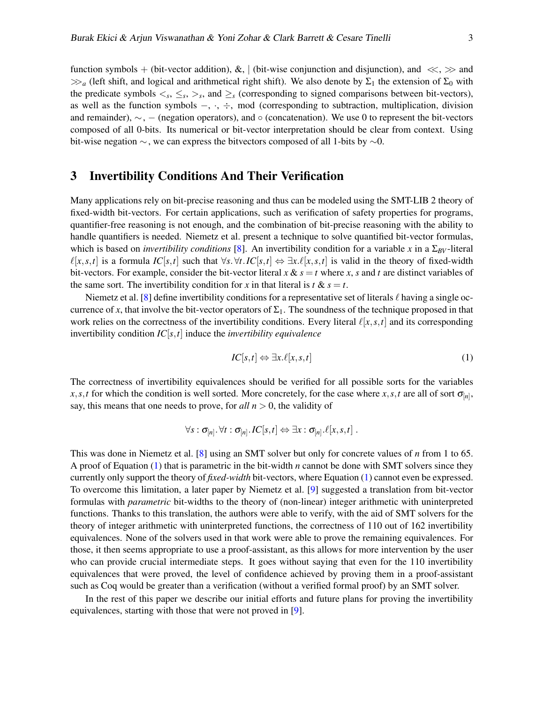function symbols + (bit-vector addition), &, | (bit-wise conjunction and disjunction), and  $\ll$ ,  $\gg$  and  $\gg_a$  (left shift, and logical and arithmetical right shift). We also denote by  $\Sigma_1$  the extension of  $\Sigma_0$  with the predicate symbols  $\lt_s$ ,  $\leq_s$ ,  $\gt_s$ , and  $\geq_s$  (corresponding to signed comparisons between bit-vectors), as well as the function symbols −, ·, ÷, mod (corresponding to subtraction, multiplication, division and remainder), ∼, − (negation operators), and ◦ (concatenation). We use 0 to represent the bit-vectors composed of all 0-bits. Its numerical or bit-vector interpretation should be clear from context. Using bit-wise negation ∼, we can express the bitvectors composed of all 1-bits by ∼0.

#### <span id="page-2-0"></span>3 Invertibility Conditions And Their Verification

Many applications rely on bit-precise reasoning and thus can be modeled using the SMT-LIB 2 theory of fixed-width bit-vectors. For certain applications, such as verification of safety properties for programs, quantifier-free reasoning is not enough, and the combination of bit-precise reasoning with the ability to handle quantifiers is needed. Niemetz et al. present a technique to solve quantified bit-vector formulas, which is based on *invertibility conditions* [\[8\]](#page-8-2). An invertibility condition for a variable *x* in a  $\Sigma_{BV}$ -literal  $\ell[x, s, t]$  is a formula *IC*[*s*,*t*] such that  $\forall s$ . $\forall t$ .*IC*[*s*,*t*]  $\Leftrightarrow \exists x \cdot \ell[x, s, t]$  is valid in the theory of fixed-width bit-vectors. For example, consider the bit-vector literal  $x \& s = t$  where  $x$ ,  $s$  and  $t$  are distinct variables of the same sort. The invertibility condition for *x* in that literal is  $t \& s = t$ .

Niemetz et al. [\[8\]](#page-8-2) define invertibility conditions for a representative set of literals  $\ell$  having a single occurrence of x, that involve the bit-vector operators of  $\Sigma_1$ . The soundness of the technique proposed in that work relies on the correctness of the invertibility conditions. Every literal  $\ell[x, s, t]$  and its corresponding invertibility condition *IC*[*s*,*t*] induce the *invertibility equivalence*

<span id="page-2-1"></span>
$$
IC[s,t] \Leftrightarrow \exists x.\ell[x,s,t] \tag{1}
$$

The correctness of invertibility equivalences should be verified for all possible sorts for the variables  $x, s, t$  for which the condition is well sorted. More concretely, for the case where  $x, s, t$  are all of sort  $\sigma_{[n]}$ , say, this means that one needs to prove, for  $all n > 0$ , the validity of

$$
\forall s : \sigma_{[n]}.\,\forall t : \sigma_{[n]}.\, IC[s,t] \Leftrightarrow \exists x : \sigma_{[n]}.\ell[x,s,t] .
$$

This was done in Niemetz et al. [\[8\]](#page-8-2) using an SMT solver but only for concrete values of *n* from 1 to 65. A proof of Equation [\(1\)](#page-2-1) that is parametric in the bit-width *n* cannot be done with SMT solvers since they currently only support the theory of *fixed-width* bit-vectors, where Equation [\(1\)](#page-2-1) cannot even be expressed. To overcome this limitation, a later paper by Niemetz et al. [\[9\]](#page-8-3) suggested a translation from bit-vector formulas with *parametric* bit-widths to the theory of (non-linear) integer arithmetic with uninterpreted functions. Thanks to this translation, the authors were able to verify, with the aid of SMT solvers for the theory of integer arithmetic with uninterpreted functions, the correctness of 110 out of 162 invertibility equivalences. None of the solvers used in that work were able to prove the remaining equivalences. For those, it then seems appropriate to use a proof-assistant, as this allows for more intervention by the user who can provide crucial intermediate steps. It goes without saying that even for the 110 invertibility equivalences that were proved, the level of confidence achieved by proving them in a proof-assistant such as Coq would be greater than a verification (without a verified formal proof) by an SMT solver.

In the rest of this paper we describe our initial efforts and future plans for proving the invertibility equivalences, starting with those that were not proved in [\[9\]](#page-8-3).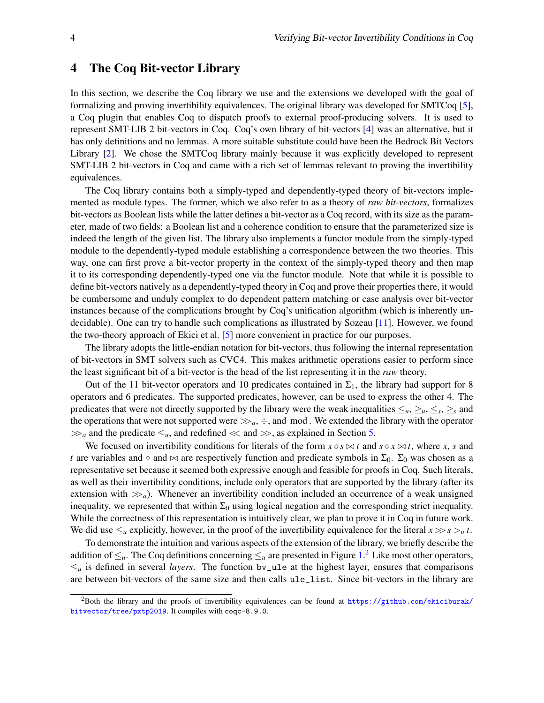#### <span id="page-3-0"></span>4 The Coq Bit-vector Library

In this section, we describe the Coq library we use and the extensions we developed with the goal of formalizing and proving invertibility equivalences. The original library was developed for SMTCoq [\[5\]](#page-8-4), a Coq plugin that enables Coq to dispatch proofs to external proof-producing solvers. It is used to represent SMT-LIB 2 bit-vectors in Coq. Coq's own library of bit-vectors [\[4\]](#page-8-7) was an alternative, but it has only definitions and no lemmas. A more suitable substitute could have been the Bedrock Bit Vectors Library [\[2\]](#page-8-8). We chose the SMTCoq library mainly because it was explicitly developed to represent SMT-LIB 2 bit-vectors in Coq and came with a rich set of lemmas relevant to proving the invertibility equivalences.

The Coq library contains both a simply-typed and dependently-typed theory of bit-vectors implemented as module types. The former, which we also refer to as a theory of *raw bit-vectors*, formalizes bit-vectors as Boolean lists while the latter defines a bit-vector as a Coq record, with its size as the parameter, made of two fields: a Boolean list and a coherence condition to ensure that the parameterized size is indeed the length of the given list. The library also implements a functor module from the simply-typed module to the dependently-typed module establishing a correspondence between the two theories. This way, one can first prove a bit-vector property in the context of the simply-typed theory and then map it to its corresponding dependently-typed one via the functor module. Note that while it is possible to define bit-vectors natively as a dependently-typed theory in Coq and prove their properties there, it would be cumbersome and unduly complex to do dependent pattern matching or case analysis over bit-vector instances because of the complications brought by Coq's unification algorithm (which is inherently undecidable). One can try to handle such complications as illustrated by Sozeau [\[11\]](#page-8-9). However, we found the two-theory approach of Ekici et al. [\[5\]](#page-8-4) more convenient in practice for our purposes.

The library adopts the little-endian notation for bit-vectors, thus following the internal representation of bit-vectors in SMT solvers such as CVC4. This makes arithmetic operations easier to perform since the least significant bit of a bit-vector is the head of the list representing it in the *raw* theory.

Out of the 11 bit-vector operators and 10 predicates contained in  $\Sigma_1$ , the library had support for 8 operators and 6 predicates. The supported predicates, however, can be used to express the other 4. The predicates that were not directly supported by the library were the weak inequalities  $\leq_u, \leq_s, \leq_s$  and the operations that were not supported were  $\gg_a, \div$ , and mod. We extended the library with the operator  $\gg_a$  and the predicate  $\leq_u$ , and redefined  $\ll$  and  $\gg$ , as explained in Section [5.](#page-4-0)

We focused on invertibility conditions for literals of the form  $x \diamond s \Join t$  and  $s \diamond x \Join t$ , where *x*, *s* and *t* are variables and  $\circ$  and  $\infty$  are respectively function and predicate symbols in  $\Sigma_0$ .  $\Sigma_0$  was chosen as a representative set because it seemed both expressive enough and feasible for proofs in Coq. Such literals, as well as their invertibility conditions, include only operators that are supported by the library (after its extension with  $\gg_a$ ). Whenever an invertibility condition included an occurrence of a weak unsigned inequality, we represented that within  $\Sigma_0$  using logical negation and the corresponding strict inequality. While the correctness of this representation is intuitively clear, we plan to prove it in Coq in future work. We did use  $\leq_u$  explicitly, however, in the proof of the invertibility equivalence for the literal  $x \gg s >_u t$ .

To demonstrate the intuition and various aspects of the extension of the library, we briefly describe the addition of  $\leq_u$ . The Coq definitions concerning  $\leq_u$  are presented in Figure [1.](#page-4-1)<sup>[2](#page-3-1)</sup> Like most other operators,  $\leq_{\mu}$  is defined in several *layers*. The function by\_ule at the highest layer, ensures that comparisons are between bit-vectors of the same size and then calls ule\_list. Since bit-vectors in the library are

<span id="page-3-1"></span><sup>&</sup>lt;sup>2</sup>Both the library and the proofs of invertibility equivalences can be found at [https://github.com/ekiciburak/](https://github.com/ekiciburak/bitvector/tree/pxtp2019) [bitvector/tree/pxtp2019](https://github.com/ekiciburak/bitvector/tree/pxtp2019). It compiles with coqc-8.9.0.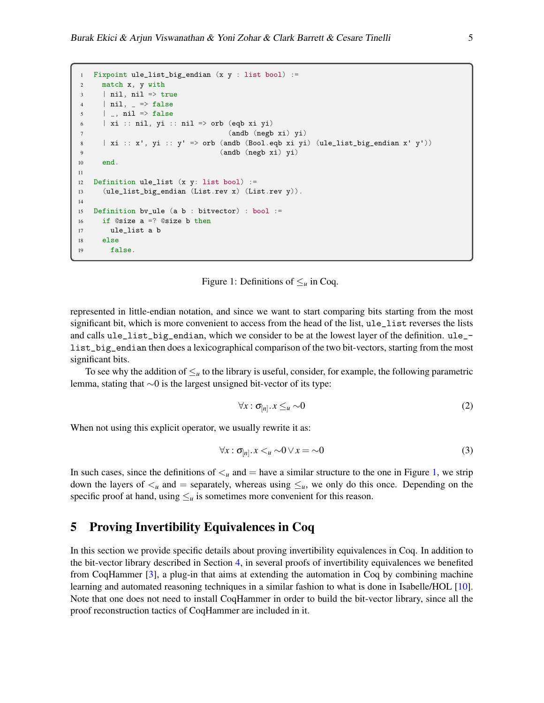```
Fixpoint ule_list_big_endian (x \, y : list bool) :=
2 match x, y with
3 | nil, nil => true
4 | nil, = > false
5 \qquad | \qquad , \text{ nil} \Rightarrow \text{false}6 | xi :: nil, yi :: nil => orb (eqb xi yi)
7 (andb (negb xi) yi)
8 | xi :: x', yi :: y' => orb (andb (Bool.eqb xi yi) (ule_list_big_endian x' y'))
9 (andb (negb xi) yi)
10 end.
11
12 Definition ule_list (x y: list bool) :=
13 (ule_list_big_endian (List.rev x) (List.rev y)).
14
15 Definition bv_ule (a b : bitvector) : bool :=
16 if @size a =? @size b then
17 ule_list a b
18 else
19 false.
```
Figure 1: Definitions of  $\leq_u$  in Coq.

<span id="page-4-1"></span>represented in little-endian notation, and since we want to start comparing bits starting from the most significant bit, which is more convenient to access from the head of the list, ule\_list reverses the lists and calls ule\_list\_big\_endian, which we consider to be at the lowest layer of the definition. ule\_ list\_big\_endian then does a lexicographical comparison of the two bit-vectors, starting from the most significant bits.

To see why the addition of  $\leq_u$  to the library is useful, consider, for example, the following parametric lemma, stating that ∼0 is the largest unsigned bit-vector of its type:

<span id="page-4-2"></span>
$$
\forall x : \sigma_{[n]} \cdot x \leq_u \sim 0 \tag{2}
$$

When not using this explicit operator, we usually rewrite it as:

$$
\forall x : \sigma_{[n]} \ldotp x < u \sim 0 \lor x = \sim 0 \tag{3}
$$

In such cases, since the definitions of  $\lt_u$  and  $=$  have a similar structure to the one in Figure [1,](#page-4-1) we strip down the layers of  $\lt_u$  and  $=$  separately, whereas using  $\le_u$ , we only do this once. Depending on the specific proof at hand, using  $\leq_u$  is sometimes more convenient for this reason.

## <span id="page-4-0"></span>5 Proving Invertibility Equivalences in Coq

In this section we provide specific details about proving invertibility equivalences in Coq. In addition to the bit-vector library described in Section [4,](#page-3-0) in several proofs of invertibility equivalences we benefited from CoqHammer [\[3\]](#page-8-10), a plug-in that aims at extending the automation in Coq by combining machine learning and automated reasoning techniques in a similar fashion to what is done in Isabelle/HOL [\[10\]](#page-8-11). Note that one does not need to install CoqHammer in order to build the bit-vector library, since all the proof reconstruction tactics of CoqHammer are included in it.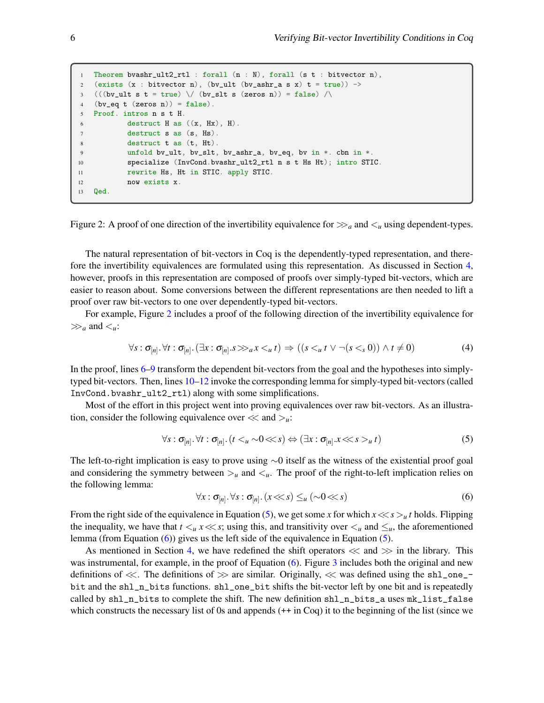```
Theorem bvashr_ult2_rtl : forall (n : N), forall (s t : bitvector n),
2 (exists (x : \text{bitvector } n), (bv_ult (bv_ashr_a s x) t = true)) ->
3 (((bv_ult s t = true) \setminus (bv_slt s (zeros n)) = false) \setminus4 (bv_eq t (zeros n)) = false).
5 Proof. intros n s t H.
6 destruct H as ((x, Hx), H).
7 destruct s as (s, Hs).
8 destruct t as (t, Ht).
9 unfold bv_ult, bv_slt, bv_ashr_a, bv_eq, bv in *. cbn in *.
10 specialize (InvCond.bvashr_ult2_rtl n s t Hs Ht); intro STIC.
11 rewrite Hs, Ht in STIC. apply STIC.
12 now exists x.
13 Qed.
```
<span id="page-5-0"></span>Figure 2: A proof of one direction of the invertibility equivalence for  $\gg_a$  and  $\lt_u$  using dependent-types.

The natural representation of bit-vectors in Coq is the dependently-typed representation, and therefore the invertibility equivalences are formulated using this representation. As discussed in Section [4,](#page-3-0) however, proofs in this representation are composed of proofs over simply-typed bit-vectors, which are easier to reason about. Some conversions between the different representations are then needed to lift a proof over raw bit-vectors to one over dependently-typed bit-vectors.

For example, Figure [2](#page-5-0) includes a proof of the following direction of the invertibility equivalence for  $\gg_a$  and  $\lt_u$ :

<span id="page-5-1"></span>
$$
\forall s: \sigma_{[n]}\ \forall t: \sigma_{[n]}\ \ (\exists x: \sigma_{[n]}\ s \gg_a x \lt_u t) \Rightarrow ((s \lt_u t \lor \neg(s \lt_s 0)) \land t \neq 0) \tag{4}
$$

In the proof, lines [6–9](#page-5-1) transform the dependent bit-vectors from the goal and the hypotheses into simplytyped bit-vectors. Then, lines [10–12](#page-5-1) invoke the corresponding lemma for simply-typed bit-vectors (called InvCond.bvashr\_ult2\_rtl) along with some simplifications.

Most of the effort in this project went into proving equivalences over raw bit-vectors. As an illustration, consider the following equivalence over  $\ll$  and  $\gt_u$ :

<span id="page-5-2"></span>
$$
\forall s : \sigma_{[n]} \cdot \forall t : \sigma_{[n]} \cdot (t <_{u} \sim 0 \ll s) \Leftrightarrow (\exists x : \sigma_{[n]} \cdot x \ll s >_{u} t) \tag{5}
$$

The left-to-right implication is easy to prove using ∼0 itself as the witness of the existential proof goal and considering the symmetry between  $>_u$  and  $<_u$ . The proof of the right-to-left implication relies on the following lemma:

<span id="page-5-3"></span>
$$
\forall x : \sigma_{[n]} \cdot \forall s : \sigma_{[n]} \cdot (x \ll s) \leq_u (\sim 0 \ll s)
$$
\n
$$
(6)
$$

From the right side of the equivalence in Equation [\(5\)](#page-5-2), we get some *x* for which  $x \ll s > u t$  holds. Flipping the inequality, we have that  $t <sub>u</sub> x \ll s$ ; using this, and transitivity over  $\lt u$  and  $\leq u$ , the aforementioned lemma (from Equation [\(6\)](#page-5-3)) gives us the left side of the equivalence in Equation [\(5\)](#page-5-2).

As mentioned in Section [4,](#page-3-0) we have redefined the shift operators  $\ll$  and  $\gg$  in the library. This was instrumental, for example, in the proof of Equation [\(6\)](#page-5-3). Figure [3](#page-6-0) includes both the original and new definitions of  $\ll$ . The definitions of  $\gg$  are similar. Originally,  $\ll$  was defined using the sh1\_one\_ bit and the shl\_n\_bits functions. shl\_one\_bit shifts the bit-vector left by one bit and is repeatedly called by shl\_n\_bits to complete the shift. The new definition shl\_n\_bits\_a uses mk\_list\_false which constructs the necessary list of 0s and appends ( $++$  in Coq) it to the beginning of the list (since we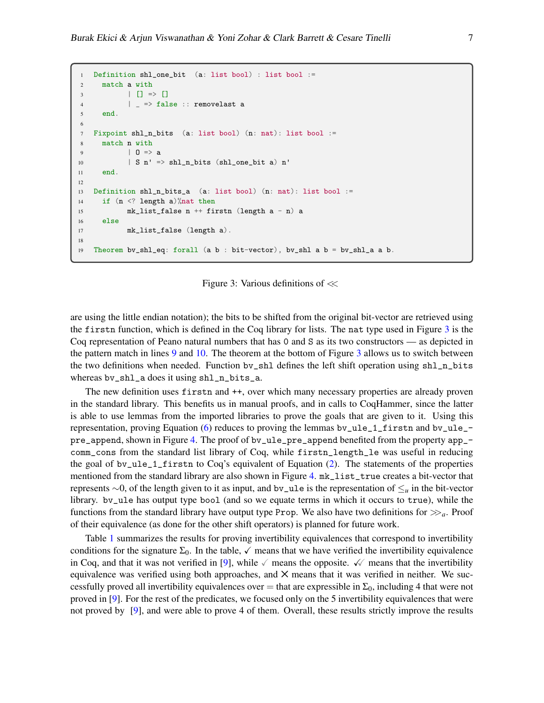```
1 Definition shl_one_bit (a: list bool) : list bool :=
2 match a with
3 | [] => []
4 | = > false :: removelast a
5 end.
6
7 Fixpoint shl_n_bits (a: list bool) (n: nat): list bool :=
8 match n with
9 | 0 \Rightarrow a10 <br> | S n' => shl_n_bits (shl_one_bit a) n'
11 end.
12
13 Definition shl_n_bits_a (a: list bool) (n: nat): list bool :=
14 if (n <? length a)%nat then
15 mk_list_false n ++ firstn (length a - n) a
16 else
17 mk_list_false (length a).
18
19 Theorem bv_shl_eq: forall (a b : bit-vector), bv_shl a b = bv_shl_a a b.
```
Figure 3: Various definitions of  $\ll$ 

<span id="page-6-0"></span>are using the little endian notation); the bits to be shifted from the original bit-vector are retrieved using the firstn function, which is defined in the Coq library for lists. The nat type used in Figure [3](#page-6-0) is the Coq representation of Peano natural numbers that has 0 and S as its two constructors — as depicted in the pattern match in lines [9](#page-5-3) and [10.](#page-5-3) The theorem at the bottom of Figure [3](#page-6-0) allows us to switch between the two definitions when needed. Function by\_shl defines the left shift operation using shl\_n\_bits whereas bv\_shl\_a does it using shl\_n\_bits\_a.

The new definition uses firstn and  $++$ , over which many necessary properties are already proven in the standard library. This benefits us in manual proofs, and in calls to CoqHammer, since the latter is able to use lemmas from the imported libraries to prove the goals that are given to it. Using this representation, proving Equation [\(6\)](#page-5-3) reduces to proving the lemmas bv\_ule\_1\_firstn and bv\_ule\_- pre\_append, shown in Figure [4.](#page-7-1) The proof of bv\_ule\_pre\_append benefited from the property app\_comm\_cons from the standard list library of Coq, while firstn\_length\_le was useful in reducing the goal of bv\_ule\_1\_firstn to Coq's equivalent of Equation [\(2\)](#page-4-2). The statements of the properties mentioned from the standard library are also shown in Figure [4.](#page-7-1)  $m$ k\_list\_true creates a bit-vector that represents ∼0, of the length given to it as input, and bv\_ule is the representation of ≤*<sup>u</sup>* in the bit-vector library. bv\_ule has output type bool (and so we equate terms in which it occurs to true), while the functions from the standard library have output type Prop. We also have two definitions for  $\gg_a$ . Proof of their equivalence (as done for the other shift operators) is planned for future work.

Table [1](#page-7-2) summarizes the results for proving invertibility equivalences that correspond to invertibility conditions for the signature  $\Sigma_0$ . In the table,  $\checkmark$  means that we have verified the invertibility equivalence in Coq, and that it was not verified in [\[9\]](#page-8-3), while  $\checkmark$  means the opposite.  $\checkmark\checkmark$  means that the invertibility equivalence was verified using both approaches, and  $\times$  means that it was verified in neither. We successfully proved all invertibility equivalences over  $=$  that are expressible in  $\Sigma_0$ , including 4 that were not proved in [\[9\]](#page-8-3). For the rest of the predicates, we focused only on the 5 invertibility equivalences that were not proved by [\[9\]](#page-8-3), and were able to prove 4 of them. Overall, these results strictly improve the results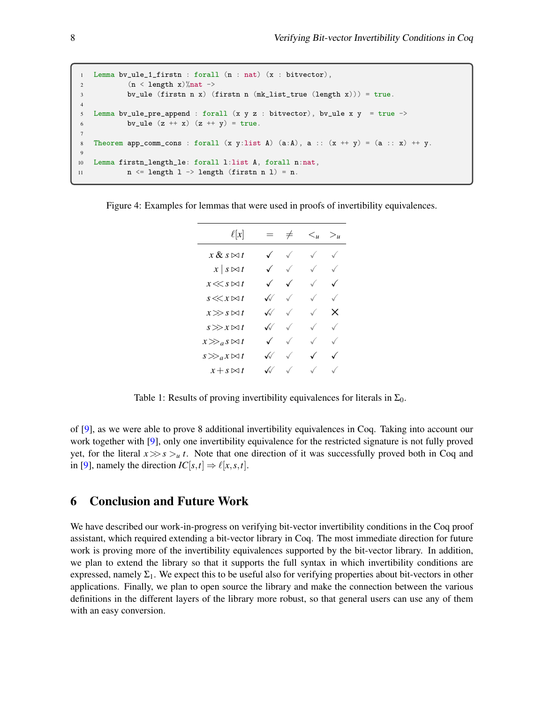```
1 Lemma bv_ule_1_firstn : forall (n : nat) (x : bitvector),
2 (n < length x)%nat ->
3 bv_ule (firstn n x) (firstn n (mk_list_true (length x))) = true.
4
5 Lemma bv_ule_pre_append : forall (x \ y \ z \ : \ bitvector), bv_ule x \ y = true \rightarrowbv_ule (z + x) (z + y) = true.
7
   Theorem app_comm_cons : forall (x, y:list A) (a:A), a :: (x + y) = (a :: x) + y.
9
10 Lemma firstn_length_le: forall l:list A, forall n:nat,
11 n \leq length \ 1 \rightarrow length \ (firstn \ n \ 1) = n.
```

| $\ell[x]$               |                   | $=$ $\neq$ | $\langle u \rangle$ $\langle u \rangle$ |              |
|-------------------------|-------------------|------------|-----------------------------------------|--------------|
| $x \& s \bowtie t$      | $\checkmark$      |            |                                         | $\checkmark$ |
| $x \mid s \bowtie t$    | $\checkmark$      |            |                                         | $\sqrt{2}$   |
| $x \ll s \bowtie t$     | $\checkmark$      |            |                                         | $\sqrt{2}$   |
| $s \ll x \bowtie t$     | $\sqrt{2}$        |            |                                         | $\sqrt{2}$   |
| $x \gg s \bowtie t$     | $\sqrt{2}$        |            | $\checkmark$                            | X            |
| $s\!\gg\!x\!\bowtie\!t$ | $\sqrt{2}$        |            |                                         | $\sqrt{2}$   |
| $x \gg_a s \bowtie t$   | $\checkmark$      |            |                                         | $\sqrt{2}$   |
| $s \gg_a x \bowtie t$   | $\sqrt{2}$        |            |                                         | $\checkmark$ |
| $x + s \bowtie t$       | $\sqrt{\sqrt{2}}$ |            |                                         | $\sqrt{2}$   |

<span id="page-7-1"></span>Figure 4: Examples for lemmas that were used in proofs of invertibility equivalences.

Table 1: Results of proving invertibility equivalences for literals in  $\Sigma_0$ .

<span id="page-7-2"></span>of [\[9\]](#page-8-3), as we were able to prove 8 additional invertibility equivalences in Coq. Taking into account our work together with [\[9\]](#page-8-3), only one invertibility equivalence for the restricted signature is not fully proved yet, for the literal  $x \gg s > u t$ . Note that one direction of it was successfully proved both in Coq and in [\[9\]](#page-8-3), namely the direction  $IC[s, t] \Rightarrow \ell[x, s, t]$ .

#### <span id="page-7-0"></span>6 Conclusion and Future Work

We have described our work-in-progress on verifying bit-vector invertibility conditions in the Coq proof assistant, which required extending a bit-vector library in Coq. The most immediate direction for future work is proving more of the invertibility equivalences supported by the bit-vector library. In addition, we plan to extend the library so that it supports the full syntax in which invertibility conditions are expressed, namely  $\Sigma_1$ . We expect this to be useful also for verifying properties about bit-vectors in other applications. Finally, we plan to open source the library and make the connection between the various definitions in the different layers of the library more robust, so that general users can use any of them with an easy conversion.